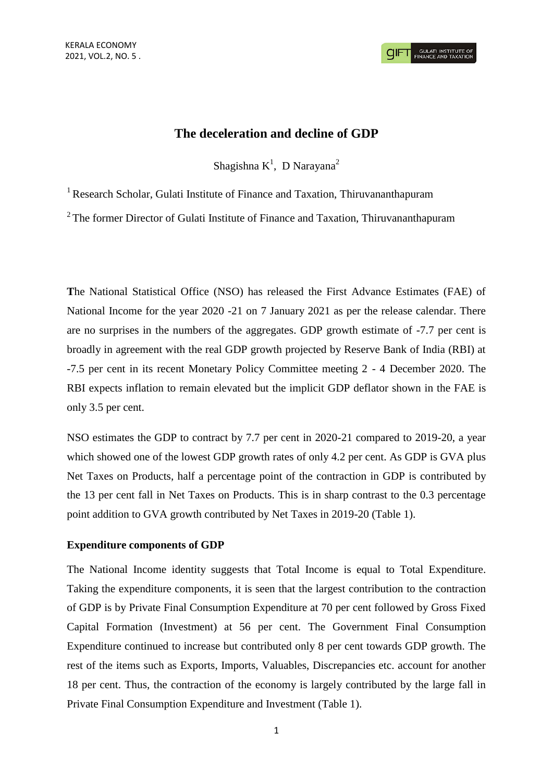# **The deceleration and decline of GDP**

Shagishna  $K^1$ , D Narayana<sup>2</sup>

<sup>1</sup> Research Scholar, Gulati Institute of Finance and Taxation, Thiruvananthapuram

 $2$  The former Director of Gulati Institute of Finance and Taxation, Thiruvananthapuram

**T**he National Statistical Office (NSO) has released the First Advance Estimates (FAE) of National Income for the year 2020 -21 on 7 January 2021 as per the release calendar. There are no surprises in the numbers of the aggregates. GDP growth estimate of -7.7 per cent is broadly in agreement with the real GDP growth projected by Reserve Bank of India (RBI) at -7.5 per cent in its recent Monetary Policy Committee meeting 2 - 4 December 2020. The RBI expects inflation to remain elevated but the implicit GDP deflator shown in the FAE is only 3.5 per cent.

NSO estimates the GDP to contract by 7.7 per cent in 2020-21 compared to 2019-20, a year which showed one of the lowest GDP growth rates of only 4.2 per cent. As GDP is GVA plus Net Taxes on Products, half a percentage point of the contraction in GDP is contributed by the 13 per cent fall in Net Taxes on Products. This is in sharp contrast to the 0.3 percentage point addition to GVA growth contributed by Net Taxes in 2019-20 (Table 1).

### **Expenditure components of GDP**

The National Income identity suggests that Total Income is equal to Total Expenditure. Taking the expenditure components, it is seen that the largest contribution to the contraction of GDP is by Private Final Consumption Expenditure at 70 per cent followed by Gross Fixed Capital Formation (Investment) at 56 per cent. The Government Final Consumption Expenditure continued to increase but contributed only 8 per cent towards GDP growth. The rest of the items such as Exports, Imports, Valuables, Discrepancies etc. account for another 18 per cent. Thus, the contraction of the economy is largely contributed by the large fall in Private Final Consumption Expenditure and Investment (Table 1).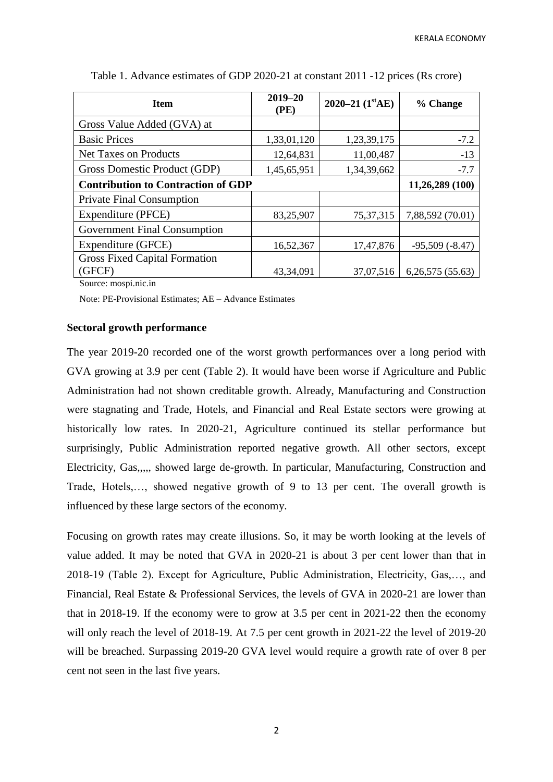| <b>Item</b>                               | $2019 - 20$<br>(PE) | 2020–21 $(1^{\text{st}}AE)$ | % Change            |  |
|-------------------------------------------|---------------------|-----------------------------|---------------------|--|
| Gross Value Added (GVA) at                |                     |                             |                     |  |
| <b>Basic Prices</b>                       | 1,33,01,120         | 1,23,39,175                 | $-7.2$              |  |
| <b>Net Taxes on Products</b>              | 12,64,831           | 11,00,487                   | $-13$               |  |
| Gross Domestic Product (GDP)              | 1,45,65,951         | 1,34,39,662                 | $-7.7$              |  |
| <b>Contribution to Contraction of GDP</b> |                     |                             | 11,26,289 (100)     |  |
| <b>Private Final Consumption</b>          |                     |                             |                     |  |
| Expenditure (PFCE)                        | 83,25,907           | 75, 37, 315                 | 7,88,592 (70.01)    |  |
| <b>Government Final Consumption</b>       |                     |                             |                     |  |
| Expenditure (GFCE)                        | 16,52,367           | 17,47,876                   | $-95,509$ $(-8.47)$ |  |
| <b>Gross Fixed Capital Formation</b>      |                     |                             |                     |  |
| (GFCF)                                    | 43,34,091           | 37,07,516                   | 6,26,575(55.63)     |  |

Table 1. Advance estimates of GDP 2020-21 at constant 2011 -12 prices (Rs crore)

Source: mospi.nic.in

Note: PE-Provisional Estimates; AE – Advance Estimates

#### **Sectoral growth performance**

The year 2019-20 recorded one of the worst growth performances over a long period with GVA growing at 3.9 per cent (Table 2). It would have been worse if Agriculture and Public Administration had not shown creditable growth. Already, Manufacturing and Construction were stagnating and Trade, Hotels, and Financial and Real Estate sectors were growing at historically low rates. In 2020-21, Agriculture continued its stellar performance but surprisingly, Public Administration reported negative growth. All other sectors, except Electricity, Gas,,,,, showed large de-growth. In particular, Manufacturing, Construction and Trade, Hotels,…, showed negative growth of 9 to 13 per cent. The overall growth is influenced by these large sectors of the economy.

Focusing on growth rates may create illusions. So, it may be worth looking at the levels of value added. It may be noted that GVA in 2020-21 is about 3 per cent lower than that in 2018-19 (Table 2). Except for Agriculture, Public Administration, Electricity, Gas,…, and Financial, Real Estate & Professional Services, the levels of GVA in 2020-21 are lower than that in 2018-19. If the economy were to grow at 3.5 per cent in 2021-22 then the economy will only reach the level of 2018-19. At 7.5 per cent growth in 2021-22 the level of 2019-20 will be breached. Surpassing 2019-20 GVA level would require a growth rate of over 8 per cent not seen in the last five years.

2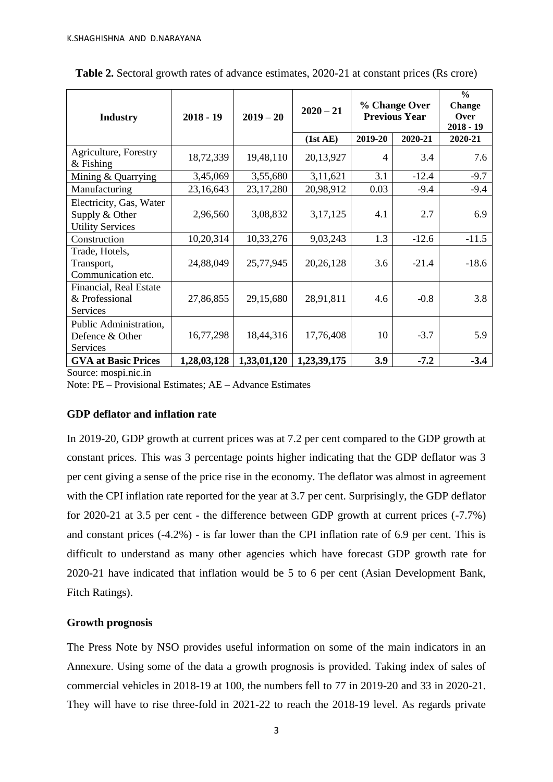| <b>Industry</b>                                                      | $2018 - 19$ | $2019 - 20$ | $2020 - 21$ | % Change Over<br><b>Previous Year</b> |         | $\frac{0}{0}$<br><b>Change</b><br>Over<br>$2018 - 19$ |
|----------------------------------------------------------------------|-------------|-------------|-------------|---------------------------------------|---------|-------------------------------------------------------|
|                                                                      |             |             | (1st AE)    | 2019-20                               | 2020-21 | 2020-21                                               |
| Agriculture, Forestry<br>$&$ Fishing                                 | 18,72,339   | 19,48,110   | 20,13,927   | $\overline{4}$                        | 3.4     | 7.6                                                   |
| Mining & Quarrying                                                   | 3,45,069    | 3,55,680    | 3,11,621    | 3.1                                   | $-12.4$ | $-9.7$                                                |
| Manufacturing                                                        | 23,16,643   | 23, 17, 280 | 20,98,912   | 0.03                                  | $-9.4$  | $-9.4$                                                |
| Electricity, Gas, Water<br>Supply & Other<br><b>Utility Services</b> | 2,96,560    | 3,08,832    | 3,17,125    | 4.1                                   | 2.7     | 6.9                                                   |
| Construction                                                         | 10,20,314   | 10,33,276   | 9,03,243    | 1.3                                   | $-12.6$ | $-11.5$                                               |
| Trade, Hotels,<br>Transport,<br>Communication etc.                   | 24,88,049   | 25,77,945   | 20, 26, 128 | 3.6                                   | $-21.4$ | $-18.6$                                               |
| Financial, Real Estate<br>& Professional<br>Services                 | 27,86,855   | 29,15,680   | 28,91,811   | 4.6                                   | $-0.8$  | 3.8                                                   |
| Public Administration,<br>Defence & Other<br><b>Services</b>         | 16,77,298   | 18,44,316   | 17,76,408   | 10                                    | $-3.7$  | 5.9                                                   |
| <b>GVA at Basic Prices</b>                                           | 1,28,03,128 | 1,33,01,120 | 1,23,39,175 | 3.9                                   | $-7.2$  | $-3.4$                                                |

**Table 2.** Sectoral growth rates of advance estimates, 2020-21 at constant prices (Rs crore)

Source: mospi.nic.in

Note: PE – Provisional Estimates; AE – Advance Estimates

# **GDP deflator and inflation rate**

In 2019-20, GDP growth at current prices was at 7.2 per cent compared to the GDP growth at constant prices. This was 3 percentage points higher indicating that the GDP deflator was 3 per cent giving a sense of the price rise in the economy. The deflator was almost in agreement with the CPI inflation rate reported for the year at 3.7 per cent. Surprisingly, the GDP deflator for 2020-21 at 3.5 per cent - the difference between GDP growth at current prices (-7.7%) and constant prices (-4.2%) - is far lower than the CPI inflation rate of 6.9 per cent. This is difficult to understand as many other agencies which have forecast GDP growth rate for 2020-21 have indicated that inflation would be 5 to 6 per cent (Asian Development Bank, Fitch Ratings).

## **Growth prognosis**

The Press Note by NSO provides useful information on some of the main indicators in an Annexure. Using some of the data a growth prognosis is provided. Taking index of sales of commercial vehicles in 2018-19 at 100, the numbers fell to 77 in 2019-20 and 33 in 2020-21. They will have to rise three-fold in 2021-22 to reach the 2018-19 level. As regards private